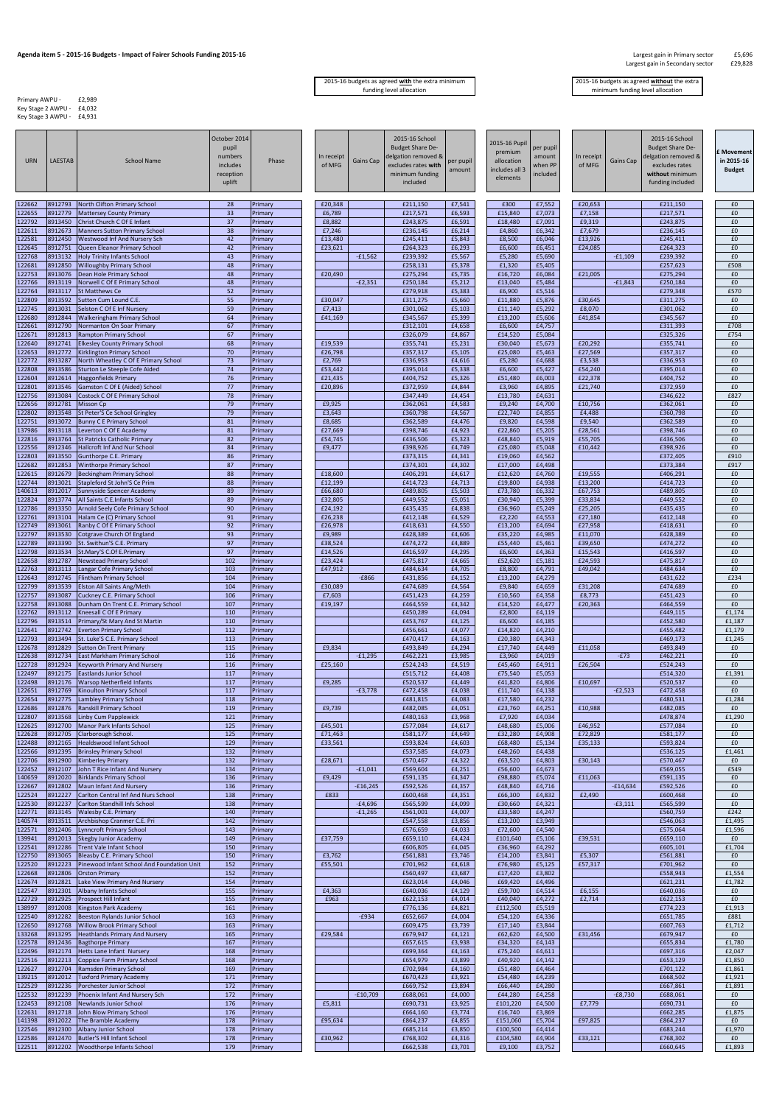## **Agenda item 5 - 2015-16 Budgets - Impact of Fairer Schools Funding 2015-16** Largest gain in Primary sector and the<br>E29,828 Largest gain in Secondary sector **E29,828**

## Largest gain in Secondary sector

Primary AWPU - £2,989 Key Stage 2 AWPU - £4,032 Key Stage 3 AWPU - £4,931

2015-16 budgets as agreed **with** the extra minimum funding level allocation

| <b>URN</b>       | <b>LAESTAB</b>     | <b>School Name</b>                                                          | October 2014<br>pupil<br>numbers<br>includes<br>reception<br>uplift | Phase              | In receipt<br>of MFG | Gains Cap  | 2015-16 School<br><b>Budget Share De-</b><br>delgation removed &<br>excludes rates with<br>minimum funding<br>included | per pupil<br>amount | 2015-16 Pupil<br>premium<br>allocation<br>ncludes all 3<br>elements | per pupil<br>amount<br>when PP<br>included | In receipt<br>of MFG | Gains Cap  | 2015-16 School<br><b>Budget Share De-</b><br>delgation removed &<br>excludes rates<br>without minimum<br>funding included | E Movement<br>in 2015-16<br><b>Budget</b> |
|------------------|--------------------|-----------------------------------------------------------------------------|---------------------------------------------------------------------|--------------------|----------------------|------------|------------------------------------------------------------------------------------------------------------------------|---------------------|---------------------------------------------------------------------|--------------------------------------------|----------------------|------------|---------------------------------------------------------------------------------------------------------------------------|-------------------------------------------|
| 122662           | 8912793            | North Clifton Primary School                                                | 28                                                                  | Primary            | £20,348              |            | £211,150                                                                                                               | £7,541              | £300                                                                | £7,552                                     | £20,653              |            | £211,150                                                                                                                  | £0                                        |
| 122655<br>122792 | 8912779<br>8913450 | <b>Mattersey County Primary</b><br>Christ Church C Of E Infant              | 33<br>37                                                            | Primary<br>Primary | £6,789<br>£8,882     |            | £217,571<br>£243,875                                                                                                   | £6,593<br>£6,591    | £15,840<br>£18,480                                                  | £7,073<br>£7,091                           | £7,158<br>£9,319     |            | £217,571<br>£243,875                                                                                                      | £0<br>£0                                  |
| 122611           | 8912673            | <b>Manners Sutton Primary School</b>                                        | 38                                                                  | Primary            | £7,246               |            | £236,145                                                                                                               | £6,214              | £4,860                                                              | £6,342                                     | £7,679               |            | £236,145                                                                                                                  | £0                                        |
| 122581<br>122645 | 8912450<br>8912751 | Westwood Inf And Nursery Sch<br>Queen Eleanor Primary School                | 42<br>42                                                            | Primary<br>Primary | £13,480<br>£23,621   |            | £245,411<br>£264,323                                                                                                   | £5,843<br>£6,293    | £8,500<br>£6,600                                                    | £6,046<br>£6,451                           | £13,926<br>£24,085   |            | £245,411<br>£264,323                                                                                                      | £0<br>£0                                  |
| 122768           | 8913132            | <b>Holy Trinity Infants School</b>                                          | 43                                                                  | Primary            |                      | $-£1,562$  | £239,392                                                                                                               | £5,567              | £5,280                                                              | £5,690                                     |                      | $-£1,109$  | £239,392                                                                                                                  | £0                                        |
| 122681<br>122753 | 3912850<br>8913076 | <b>Willoughby Primary School</b><br>Dean Hole Primary School                | 48<br>48                                                            | Primary<br>Primary | £20,490              |            | £258,131<br>£275,294                                                                                                   | £5,378<br>£5,735    | £1,320<br>£16,720                                                   | £5,405<br>£6,084                           | £21,005              |            | £257,623<br>£275,294                                                                                                      | £508<br>£0                                |
| 122766           | 8913119            | Norwell C Of E Primary School                                               | 48                                                                  | Primary            |                      | $-E2,351$  | £250,184                                                                                                               | £5,212              | £13,040                                                             | £5,484                                     |                      | $-£1,843$  | £250,184                                                                                                                  | £0                                        |
| 122764<br>122809 | 8913117<br>8913592 | <b>St Matthews Ce</b><br>Sutton Cum Lound C.E.                              | 52<br>55                                                            | Primary<br>Primary | £30,047              |            | £279,918<br>£311,275                                                                                                   | £5,383<br>£5,660    | £6,900<br>£11,880                                                   | £5,516<br>£5,876                           | £30,645              |            | £279,348<br>£311,275                                                                                                      | £570<br>£0                                |
| 122745           | 8913031            | Selston C Of E Inf Nursery                                                  | 59                                                                  | Primary            | £7,413               |            | £301,062                                                                                                               | £5,103              | £11,140                                                             | £5,292                                     | £8,070               |            | £301,062                                                                                                                  | £0                                        |
| 122680<br>122661 | 8912844<br>8912790 | <b>Walkeringham Primary School</b><br>Normanton On Soar Primary             | 64<br>67                                                            | Primary<br>Primary | £41,169              |            | £345,567<br>£312,101                                                                                                   | £5,399<br>£4,658    | £13,200<br>£6,600                                                   | £5,606<br>£4,757                           | £41,854              |            | £345,567<br>£311,393                                                                                                      | £0<br>£708                                |
| 122671           | 8912813            | <b>Rampton Primary School</b>                                               | 67                                                                  | Primary            |                      |            | £326,079                                                                                                               | £4,867              | £14,520                                                             | £5,084                                     |                      |            | £325,326                                                                                                                  | £754                                      |
| 122640<br>122653 | 8912741<br>8912772 | <b>Elkesley County Primary School</b><br>Kirklington Primary School         | 68<br>70                                                            | Primary<br>Primary | £19,539<br>£26,798   |            | £355,741<br>£357,317                                                                                                   | £5,231<br>£5,105    | £30,040<br>£25,080                                                  | £5,673<br>£5,463                           | £20,292<br>£27,569   |            | £355,741<br>£357,317                                                                                                      | £0<br>£0                                  |
| 122772           | 8913287            | North Wheatley C Of E Primary School                                        | 73                                                                  | Primary            | £2,769               |            | £336,953                                                                                                               | £4,616              | £5,280                                                              | £4,688                                     | £3,538               |            | £336,953                                                                                                                  | £0                                        |
| 122808<br>122604 | 8913586<br>8912614 | Sturton Le Steeple Cofe Aided<br><b>Haggonfields Primary</b>                | 74<br>76                                                            | Primary<br>Primary | £53,442<br>£21,435   |            | £395,014<br>£404,752                                                                                                   | £5,338<br>£5,326    | £6,600<br>£51,480                                                   | £5,427<br>£6,003                           | £54,240<br>£22,378   |            | £395,014<br>£404,752                                                                                                      | £0<br>£0                                  |
| 122801           | 8913546            | Gamston C Of E (Aided) School                                               | 77                                                                  | Primary            | £20,896              |            | £372,959                                                                                                               | £4,844              | £3,960                                                              | £4,895                                     | £21,740              |            | £372,959                                                                                                                  | £0                                        |
| 122756<br>122656 | 8913084<br>3912781 | Costock C Of E Primary School<br><b>Misson Cp</b>                           | 78<br>79                                                            | Primary<br>Primary | £9,925               |            | £347,449<br>£362,061                                                                                                   | £4,454<br>£4,583    | £13,780<br>£9,240                                                   | £4,631<br>£4,700                           | £10,756              |            | £346,622<br>£362,061                                                                                                      | £827<br>£0                                |
| 122802           | 8913548            | St Peter'S Ce School Gringley                                               | 79                                                                  | Primary            | £3,643               |            | £360,798                                                                                                               | £4,567              | £22,740                                                             | £4,855                                     | £4,488               |            | £360,798                                                                                                                  | £0                                        |
| 122751<br>137986 | 8913072<br>8913118 | <b>Bunny C E Primary School</b><br>Leverton C Of E Academy                  | 81<br>81                                                            | Primary<br>Primary | £8,685<br>£27,669    |            | £362,589<br>£398,746                                                                                                   | £4,476<br>£4,923    | £9,820<br>£22,860                                                   | £4,598<br>£5,205                           | £9,540<br>£28,561    |            | £362,589<br>£398,746                                                                                                      | £0<br>£0                                  |
| 122816           | 8913764            | <b>St Patricks Catholic Primary</b>                                         | 82                                                                  | Primary            | £54,745              |            | £436,506                                                                                                               | £5,323              | £48,840                                                             | £5,919                                     | £55,705              |            | £436,506                                                                                                                  | £0                                        |
| 122556<br>122803 | 8912346<br>8913550 | <b>Hallcroft Inf And Nur School</b><br>Gunthorpe C.E. Primary               | 84<br>86                                                            | Primary<br>Primary | £9,477               |            | £398,926<br>£373,315                                                                                                   | £4,749<br>£4,341    | £25,080<br>£19,060                                                  | £5,048<br>£4,562                           | £10,442              |            | £398,926<br>£372,405                                                                                                      | £0<br>£910                                |
| 122682           | 8912853            | <b>Winthorpe Primary School</b>                                             | 87                                                                  | Primary            |                      |            | £374,301                                                                                                               | £4,302              | £17,000                                                             | £4,498                                     |                      |            | £373,384                                                                                                                  | £917                                      |
| 122615<br>122744 | 8912679<br>3913021 | <b>Beckingham Primary School</b><br>Stapleford St John'S Ce Prim            | 88<br>88                                                            | Primary<br>Primary | £18,600<br>£12,199   |            | £406,291<br>£414,723                                                                                                   | £4,617<br>£4,713    | £12,620<br>£19,800                                                  | £4,760<br>£4,938                           | £19,555<br>£13,200   |            | £406,291<br>£414,723                                                                                                      | £0<br>£0                                  |
| 140613           | 8912017            | <b>Sunnyside Spencer Academy</b>                                            | 89                                                                  | Primary            | £66,680              |            | £489,805                                                                                                               | £5,503              | £73,780                                                             | £6,332                                     | £67,753              |            | £489,805                                                                                                                  | £0                                        |
| 122824<br>122786 | 8913774<br>8913350 | All Saints C.E.Infants School<br>Arnold Seely Cofe Primary School           | 89<br>90                                                            | Primary<br>Primary | £32,805<br>£24,192   |            | £449,552<br>£435,435                                                                                                   | £5,051<br>£4,838    | £30,940<br>£36,960                                                  | £5,399<br>£5,249                           | £33,834<br>£25,205   |            | £449,552<br>£435,435                                                                                                      | £0<br>£0                                  |
| 122761           | 8913104            | Halam Ce (C) Primary School                                                 | 91                                                                  | Primary            | £26,238              |            | £412,148                                                                                                               | £4,529              | £2,220                                                              | £4,553                                     | £27,180              |            | £412,148                                                                                                                  | £0                                        |
| 122749<br>122797 | 8913061<br>8913530 | Ranby C Of E Primary School<br>Cotgrave Church Of England                   | 92<br>93                                                            | Primary<br>Primary | £26,978<br>£9,989    |            | £418,631<br>£428,389                                                                                                   | £4,550<br>£4,606    | £13,200<br>£35,220                                                  | £4,694<br>£4,985                           | £27,958<br>£11,070   |            | £418,631<br>£428,389                                                                                                      | £0<br>£0                                  |
| 122789           | 8913390            | St. Swithun'S C.E. Primary                                                  | 97                                                                  | Primary            | £38,524              |            | £474,272                                                                                                               | £4,889              | £55,440                                                             | £5,461                                     | £39,650              |            | £474,272                                                                                                                  | £0                                        |
| 122798<br>122658 | 8913534<br>8912787 | St.Mary'S C.Of E.Primary<br><b>Newstead Primary School</b>                  | 97<br>102                                                           | Primary<br>Primary | £14,526<br>£23,424   |            | £416,597<br>£475,817                                                                                                   | £4,295<br>£4,665    | £6,600<br>£52,620                                                   | £4,363<br>£5,181                           | £15,543<br>£24,593   |            | £416,597<br>£475,817                                                                                                      | £0<br>£0                                  |
| 122763           | 8913113            | Langar Cofe Primary School                                                  | 103                                                                 | Primary            | £47,912              |            | £484,634                                                                                                               | £4,705              | £8,800                                                              | £4,791                                     | £49,042              |            | £484,634                                                                                                                  | £0                                        |
| 122643<br>122799 | 8912745<br>8913539 | <b>Flintham Primary School</b><br><b>Elston All Saints Ang/Meth</b>         | 104<br>104                                                          | Primary<br>Primary | £30,089              | $-£866$    | £431,856<br>£474,689                                                                                                   | £4,152<br>£4,564    | £13,200<br>£9,840                                                   | £4,279<br>£4,659                           | £31,208              |            | £431,622<br>£474,689                                                                                                      | £234<br>£0                                |
| 122757           | 8913087            | Cuckney C.E. Primary School                                                 | 106                                                                 | Primary            | £7,603               |            | £451,423                                                                                                               | £4,259              | £10,560                                                             | £4,358                                     | £8,773               |            | £451,423                                                                                                                  | £0                                        |
| 122758<br>122762 | 8913088<br>8913112 | Dunham On Trent C.E. Primary School<br>Kneesall C Of E Primary              | 107<br>110                                                          | Primary<br>Primary | £19,197              |            | £464,559<br>£450,289                                                                                                   | £4,342<br>£4,094    | £14,520<br>£2,800                                                   | £4,477<br>£4,119                           | £20,363              |            | £464,559<br>£449,115                                                                                                      | £0<br>£1,174                              |
| 122796           | 8913514            | Primary/St Mary And St Martin                                               | 110                                                                 | Primary            |                      |            | £453,767                                                                                                               | £4,125              | £6,600                                                              | £4,185                                     |                      |            | £452,580                                                                                                                  | £1,187                                    |
| 122641<br>122793 | 8912742<br>8913494 | <b>Everton Primary School</b><br>St. Luke'S C.E. Primary School             | 112<br>113                                                          | Primary<br>Primary |                      |            | £456,661<br>£470,417                                                                                                   | £4,077<br>£4,163    | £14,820<br>£20,380                                                  | £4,210<br>£4,343                           |                      |            | £455,482<br>£469,173                                                                                                      | £1,179<br>£1,245                          |
| 122678           | 8912829            | <b>Sutton On Trent Primary</b>                                              | 115                                                                 | Primary            | £9,834               |            | £493,849                                                                                                               | £4,294              | £17,740                                                             | £4,449                                     | £11,058              |            | £493,849                                                                                                                  | £0                                        |
| 122638<br>122728 | 8912734<br>8912924 | East Markham Primary School<br><b>Keyworth Primary And Nursery</b>          | 116<br>116                                                          | Primary<br>Primary | £25,160              | $-£1,295$  | £462,221<br>£524,243                                                                                                   | £3,985<br>£4,519    | £3,960<br>£45,460                                                   | £4,019<br>£4,911                           | £26,504              | $-E73$     | £462,221<br>£524,243                                                                                                      | £0<br>£0                                  |
| 122497<br>122498 | 8912175<br>8912176 | <b>Eastlands Junior School</b><br><b>Warsop Netherfield Infants</b>         | 117<br>117                                                          | Primary<br>Primary | £9,285               |            | £515,712<br>£520,537                                                                                                   | £4,408<br>£4,449    | £75,540<br>£41,820                                                  | £5,053<br>£4,806                           | £10,697              |            | £514,320<br>£520,537                                                                                                      | £1,391<br>£0                              |
| 122651           | 8912769            | Kinoulton Primary School                                                    | 117                                                                 | Primary            |                      | $-£3,778$  | £472,458                                                                                                               | £4,038              | £11,740                                                             | £4,138                                     |                      | $-E2,523$  | £472,458                                                                                                                  | £0                                        |
| 122654<br>122686 | 3912775<br>8912876 | Lambley Primary School<br><b>Ranskill Primary School</b>                    | 118<br>119                                                          | Primary<br>Primary | £9,739               |            | £481,815<br>£482,085                                                                                                   | £4,083<br>£4,051    | £17,580<br>£23,760                                                  | £4,232<br>£4,251                           | £10,988              |            | £480,531<br>£482,085                                                                                                      | £1,284<br>£0                              |
| 122807           | 8913568            | Linby Cum Papplewick                                                        | 121                                                                 | Primary            |                      |            | £480,163                                                                                                               | £3,968              | £7,920                                                              | £4,034                                     |                      |            | £478,874                                                                                                                  | £1,290                                    |
| 122625<br>122628 | 8912700<br>8912705 | Manor Park Infants School<br>Clarborough School.                            | 125<br>125                                                          | Primary<br>Primary | £45,501<br>£71,463   |            | £577,084<br>£581,177                                                                                                   | £4,617<br>£4,649    | £48,680<br>£32,280                                                  | £5,006<br>£4,908                           | £46,952<br>£72,829   |            | £577,084<br>£581,177                                                                                                      | £0<br>£0                                  |
| 122488           | 8912165            | Healdswood Infant School                                                    | 129                                                                 | Primary            | £33,561              |            | £593,824                                                                                                               | £4,603              | £68,480                                                             | £5,134                                     | £35,133              |            | £593,824                                                                                                                  | £0                                        |
| 122566<br>122706 | 8912395<br>8912900 | <b>Brinsley Primary School</b><br><b>Kimberley Primary</b>                  | 132<br>132                                                          | Primary<br>Primary | £28,671              |            | £537,585<br>£570,467                                                                                                   | £4,073<br>£4,322    | £48,260<br>£63,520                                                  | £4,438<br>£4,803                           | £30,143              |            | £536,125<br>£570,467                                                                                                      | £1,461<br>£0                              |
| 122452           | 8912107            | John T Rice Infant And Nursery                                              | 134                                                                 | Primary            |                      | $-£1,041$  | £569,604                                                                                                               | £4,251              | £56,600                                                             | £4,673                                     |                      |            | £569,055                                                                                                                  | £549                                      |
| 140659<br>122667 | 8912020<br>8912802 | <b>Birklands Primary School</b><br><b>Maun Infant And Nursery</b>           | 136<br>136                                                          | Primary<br>Primary | £9,429               | $-£16,245$ | £591,135<br>£592,526                                                                                                   | £4,347<br>£4,357    | £98,880<br>£48,840                                                  | £5,074<br>£4,716                           | £11,063              | $-£14,634$ | £591,135<br>£592,526                                                                                                      | £0<br>£0                                  |
| 122524<br>122530 | 8912227<br>8912237 | Carlton Central Inf And Nurs School<br>Carlton Standhill Infs School        | 138<br>138                                                          | Primary<br>Primary | £833                 | $-£4,696$  | £600,468<br>£565,599                                                                                                   | £4,351<br>£4,099    | £66,300<br>£30,660                                                  | £4,832<br>£4,321                           | £2,490               | $-E3,111$  | £600,468<br>£565,599                                                                                                      | £0<br>£0                                  |
| 122771           | 8913145            | <b>Walesby C.E. Primary</b>                                                 | 140                                                                 | Primary            |                      | $-£1,265$  | £561,001                                                                                                               | £4,007              | £33,580                                                             | £4,247                                     |                      |            | £560,759                                                                                                                  | £242                                      |
| 140574<br>122571 | 8913511<br>8912406 | Archbishop Cranmer C.E. Pri<br>Lynncroft Primary School                     | 142<br>143                                                          | Primary<br>Primary |                      |            | £547,558<br>£576,659                                                                                                   | £3,856<br>£4,033    | £13,200<br>£72,600                                                  | £3,949<br>£4,540                           |                      |            | £546,063<br>£575,064                                                                                                      | £1,495<br>£1,596                          |
| 139941           | 8912013            | <b>Skegby Junior Academy</b>                                                | 149                                                                 | Primary            | £37,759              |            | £659,110                                                                                                               | £4,424              | £101,640                                                            | £5,106                                     | £39,531              |            | £659,110                                                                                                                  | £0                                        |
| 122541<br>122750 | 8912286<br>8913065 | <b>Trent Vale Infant School</b><br><b>Bleasby C.E. Primary School</b>       | 150<br>150                                                          | Primary<br>Primary | £3,762               |            | £606,805<br>£561,881                                                                                                   | £4,045<br>£3,746    | £36,960<br>£14,200                                                  | £4,292<br>£3,841                           | £5,307               |            | £605,101<br>£561,881                                                                                                      | £1,704<br>£0                              |
| 122520           | 8912223            | Pinewood Infant School And Foundation Unit                                  | 152                                                                 | Primary            | £55,501              |            | £701,962                                                                                                               | £4,618              | £76,980                                                             | £5,125                                     | £57,317              |            | £701,962                                                                                                                  | £0                                        |
| 122668<br>122674 | 8912806<br>8912821 | <b>Orston Primary</b><br>Lake View Primary And Nursery                      | 152<br>154                                                          | Primary<br>Primary |                      |            | £560,497<br>£623,014                                                                                                   | £3,687<br>£4,046    | £17,420<br>£69,420                                                  | £3,802<br>£4,496                           |                      |            | £558,943<br>£621,231                                                                                                      | £1,554<br>£1,782                          |
| 122547           | 8912301            | <b>Albany Infants School</b>                                                | 155                                                                 | Primary            | £4,363               |            | £640,036                                                                                                               | £4,129              | £59,700                                                             | £4,514                                     | £6,155               |            | £640,036                                                                                                                  | £0                                        |
| 122729<br>138997 | 8912925<br>8912008 | <b>Prospect Hill Infant</b><br>Kingston Park Academy                        | 155<br>161                                                          | Primary<br>Primary | £963                 |            | £622,153<br>£776,136                                                                                                   | £4,014<br>£4,821    | £40,040<br>£112,500                                                 | £4,272<br>£5,519                           | £2,714               |            | £622,153<br>£774,223                                                                                                      | £0<br>£1,913                              |
| 122540           | 8912282            | Beeston Rylands Junior School                                               | 163                                                                 | Primary            |                      | $-£934$    | £652,667                                                                                                               | £4,004              | £54,120                                                             | £4,336                                     |                      |            | £651,785                                                                                                                  | £881                                      |
| 122650<br>133268 | 8912768<br>8913295 | <b>Willow Brook Primary School</b><br><b>Heathlands Primary And Nursery</b> | 163<br>165                                                          | Primary<br>Primary | £29,584              |            | £609,475<br>£679,947                                                                                                   | £3,739<br>£4,121    | £17,140<br>£62,620                                                  | £3,844<br>£4,500                           | £31,456              |            | £607,763<br>£679,947                                                                                                      | £1,712<br>£0                              |
| 122578           | 8912436            | <b>Bagthorpe Primary</b>                                                    | 167                                                                 | Primary            |                      |            | £657,615                                                                                                               | £3,938              | £34,320                                                             | £4,143                                     |                      |            | £655,834                                                                                                                  | £1,780                                    |
| 122496<br>122516 | 8912174            | <b>Hetts Lane Infant Nursery</b><br>8912213 Coppice Farm Primary School     | 168<br>168                                                          | Primary<br>Primary |                      |            | £699,364<br>£654,979                                                                                                   | £4,163<br>£3,899    | £75,240<br>£40,920                                                  | £4,611<br>£4,142                           |                      |            | £697,316<br>£653,129                                                                                                      | £2,047<br>£1,850                          |
| 122627           | 8912704            | Ramsden Primary School                                                      | 169                                                                 | Primary            |                      |            | £702,984                                                                                                               | £4,160              | £51,480                                                             | £4,464                                     |                      |            | £701,122                                                                                                                  | £1,861                                    |
| 139215<br>122529 | 8912012<br>8912236 | <b>Tuxford Primary Academy</b><br>Porchester Junior School                  | 171<br>172                                                          | Primary<br>Primary |                      |            | £670,423<br>£669,752                                                                                                   | £3,921<br>£3,894    | £54,480<br>£66,440                                                  | £4,239<br>£4,280                           |                      |            | £668,502<br>£667,861                                                                                                      | £1,921<br>£1,891                          |
| 122532           | 8912239            | Phoenix Infant And Nursery Sch                                              | 172                                                                 | Primary            |                      | $-£10,709$ | £688,061                                                                                                               | £4,000              | £44,280                                                             | £4,258                                     |                      | $-E8,730$  | £688,061                                                                                                                  | £0                                        |
| 122453<br>122631 | 8912108<br>8912718 | Newlands Junior School<br>John Blow Primary School                          | 176<br>176                                                          | Primary<br>Primary | £5,811               |            | £690,731<br>£664,160                                                                                                   | £3,925<br>£3,774    | £101,220<br>£16,740                                                 | £4,500<br>£3,869                           | £7,779               |            | £690,731<br>£662,285                                                                                                      | £0<br>£1,875                              |
| 141398           | 8912022            | The Bramble Academy                                                         | 178                                                                 | Primary            | £95,634              |            | £864,237                                                                                                               | £4,855              | £151,060                                                            | £5,704                                     | £97,825              |            | £864,237                                                                                                                  | £0                                        |
| 122546<br>122586 | 8912300<br>8912470 | <b>Albany Junior School</b><br>Butler'S Hill Infant School                  | 178<br>178                                                          | Primary<br>Primary | £30,962              |            | £685,214<br>£768,302                                                                                                   | £3,850<br>£4,316    | £100,500<br>£104,580                                                | £4,414<br>£4,904                           | £33,121              |            | £683,244<br>£768,302                                                                                                      | £1,970<br>£0                              |
| 122511           | 8912202            | Woodthorpe Infants School                                                   | 179                                                                 | Primary            |                      |            | £662,538                                                                                                               | £3,701              | £9,100                                                              | £3,752                                     |                      |            | £660,645                                                                                                                  | £1,893                                    |

2015-16 budgets as agreed **without** the extra

minimum funding level allocation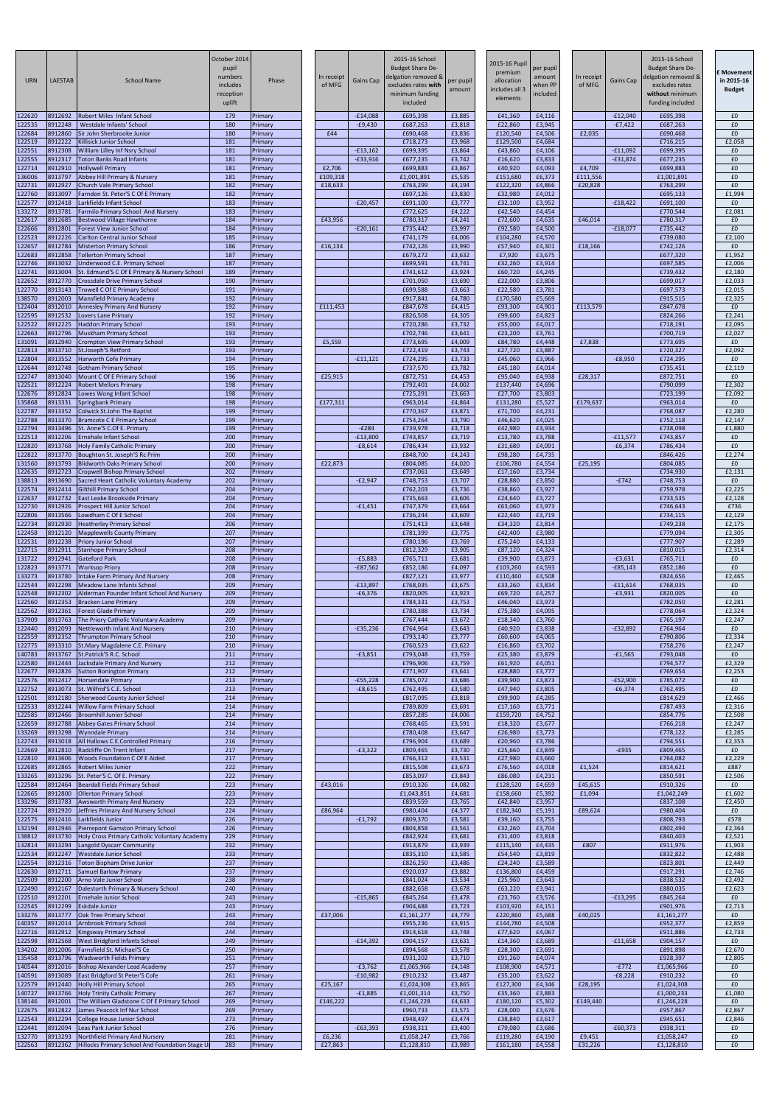| <b>URN</b>       | <b>LAESTAB</b>     | <b>School Name</b>                                                                  | October 2014<br>pupil<br>numbers<br>includes<br>reception<br>uplift | Phase              | In receipt<br>of MFG | <b>Gains Cap</b>        | 2015-16 School<br><b>Budget Share De-</b><br>delgation removed &<br>excludes rates with<br>minimum funding<br>included | per pupil<br>amount | 2015-16 Pupil<br>premium<br>allocation<br>ncludes all 3<br>elements | per pupil<br>amount<br>when PP<br>included | In receipt<br>of MFG | Gains Cap               | 2015-16 School<br><b>Budget Share De-</b><br>delgation removed &<br>excludes rates<br>without minimum<br>funding included | Movement :<br>in 2015-16<br><b>Budget</b> |
|------------------|--------------------|-------------------------------------------------------------------------------------|---------------------------------------------------------------------|--------------------|----------------------|-------------------------|------------------------------------------------------------------------------------------------------------------------|---------------------|---------------------------------------------------------------------|--------------------------------------------|----------------------|-------------------------|---------------------------------------------------------------------------------------------------------------------------|-------------------------------------------|
| 122620<br>122535 | 8912692<br>8912248 | <b>Robert Miles Infant School</b><br><b>Westdale Infants' School</b>                | 179<br>180                                                          | Primary<br>Primary |                      | $-E14,088$<br>$-£9,430$ | £695,398<br>£687,263                                                                                                   | £3,885<br>£3,818    | £41,360<br>£22,860                                                  | £4,116<br>£3,945                           |                      | $-E12,040$<br>$-E7,422$ | £695,398<br>£687,263                                                                                                      | £0<br>£0                                  |
| 122684           | 8912860<br>8912222 | Sir John Sherbrooke Junior                                                          | 180<br>181                                                          | Primary            | £44                  |                         | £690,468                                                                                                               | £3,836              | £120,540                                                            | £4,506<br>£4,684                           | £2,035               |                         | £690,468                                                                                                                  | £0                                        |
| 122519<br>122551 | 8912308            | Killisick Junior School<br>William Lilley Inf Nsry School                           | 181                                                                 | Primary<br>Primary |                      | $-£13,162$              | £718,273<br>£699,395                                                                                                   | £3,968<br>£3,864    | £129,500<br>£43,860                                                 | £4,106                                     |                      | $-£11,092$              | £716,215<br>£699,395                                                                                                      | £2,058<br>£0                              |
| 122555<br>122714 | 8912317<br>8912910 | <b>Toton Banks Road Infants</b><br><b>Hollywell Primary</b>                         | 181<br>181                                                          | Primary<br>Primary | £2,706               | $-E33,916$              | £677,235<br>£699,883                                                                                                   | £3,742<br>£3,867    | £16,620<br>£40,920                                                  | £3,833<br>£4,093                           | £4,709               | $-£31,874$              | £677,235<br>£699,883                                                                                                      | £0<br>£0                                  |
| 136006           | 8913797            | Abbey Hill Primary & Nursery                                                        | 181                                                                 | Primary            | £109,318             |                         | £1,001,891                                                                                                             | £5,535              | £151,680                                                            | £6,373                                     | £111,556             |                         | £1,001,891                                                                                                                | £0                                        |
| 122731<br>122760 | 8912927<br>8913097 | Church Vale Primary School<br>Farndon St. Peter'S C Of E Primary                    | 182<br>182                                                          | Primary<br>Primary | £18,633              |                         | £763,299<br>£697,126                                                                                                   | £4,194<br>£3,830    | £122,320<br>£32,980                                                 | £4,866<br>£4,012                           | £20,828              |                         | £763,299<br>£695,133                                                                                                      | £0<br>£1,994                              |
| 122577<br>133272 | 8912418<br>8913781 | Larkfields Infant School                                                            | 183<br>183                                                          | Primary            |                      | $-E20,457$              | £691,100                                                                                                               | £3,777              | £32,100<br>£42,540                                                  | £3,952<br>£4,454                           |                      | $-£18,422$              | £691,100<br>£770,544                                                                                                      | £0<br>£2,081                              |
| 122617           | 8912685            | Farmilo Primary School And Nursery<br><b>Bestwood Village Hawthorne</b>             | 184                                                                 | Primary<br>Primary | £43,956              |                         | £772,625<br>£780,317                                                                                                   | £4,222<br>£4,241    | £72,600                                                             | £4,635                                     | £46,014              |                         | £780,317                                                                                                                  | £0                                        |
| 122666<br>122523 | 8912801<br>8912226 | <b>Forest View Junior School</b><br>Carlton Central Junior School                   | 184<br>185                                                          | Primary<br>Primary |                      | $-E20,161$              | £735,442<br>£741,179                                                                                                   | £3,997<br>£4,006    | £92,580<br>£104,280                                                 | £4,500<br>£4,570                           |                      | $-E18,077$              | £735,442<br>£739,080                                                                                                      | £0<br>£2,100                              |
| 122657           | 8912784            | <b>Misterton Primary School</b>                                                     | 186                                                                 | Primary            | £16,134              |                         | £742,126                                                                                                               | £3,990              | £57,940                                                             | £4,301                                     | £18,166              |                         | £742,126                                                                                                                  | £0                                        |
| 122683<br>122746 | 8912858<br>8913032 | <b>Tollerton Primary School</b><br>Underwood C.E. Primary School                    | 187<br>187                                                          | Primary<br>Primary |                      |                         | £679,272<br>£699,591                                                                                                   | £3,632<br>£3,741    | £7,920<br>£32,260                                                   | £3,675<br>£3,914                           |                      |                         | £677,320<br>£697,585                                                                                                      | £1,952<br>£2,006                          |
| 122741<br>122652 | 8913004<br>8912770 | St. Edmund'S C Of E Primary & Nursery School<br>Crossdale Drive Primary School      | 189<br>190                                                          | Primary<br>Primary |                      |                         | £741,612<br>£701,050                                                                                                   | £3,924<br>£3,690    | £60,720<br>£22,000                                                  | £4,245<br>£3,806                           |                      |                         | £739,432<br>£699,017                                                                                                      | £2,180<br>£2,033                          |
| 122770           | 8913143            | <b>Trowell C Of E Primary School</b>                                                | 191                                                                 | Primary            |                      |                         | £699,588                                                                                                               | £3,663              | £22,580                                                             | £3,781                                     |                      |                         | £697,573                                                                                                                  | £2,015                                    |
| 138570<br>122404 | 8912003<br>8912010 | <b>Mansfield Primary Academy</b><br><b>Annesley Primary And Nursery</b>             | 192<br>192                                                          | Primary<br>Primary | £111,453             |                         | £917,841<br>£847,678                                                                                                   | £4,780<br>£4,415    | £170,580<br>£93,300                                                 | £5,669<br>£4,901                           | £113,579             |                         | £915,515<br>£847,678                                                                                                      | £2,325<br>£0                              |
| 122595<br>122522 | 8912532<br>8912225 | Lovers Lane Primary<br><b>Haddon Primary School</b>                                 | 192<br>193                                                          | Primary<br>Primary |                      |                         | £826,508<br>£720,286                                                                                                   | £4,305<br>£3,732    | £99,600<br>£55,000                                                  | £4,823<br>£4,017                           |                      |                         | £824,266<br>£718,191                                                                                                      | £2,241<br>£2,095                          |
| 122663           | 8912796            | <b>Muskham Primary School</b>                                                       | 193                                                                 | Primary            |                      |                         | £702,746                                                                                                               | £3,641              | £23,200                                                             | £3,761                                     |                      |                         | £700,719                                                                                                                  | £2,027                                    |
| 131091<br>122813 | 8912940<br>8913710 | Crompton View Primary School<br><b>St.Joseph'S Retford</b>                          | 193<br>193                                                          | Primary<br>Primary | £5,559               |                         | £773,695<br>£722,419                                                                                                   | £4,009<br>£3,743    | £84,780<br>£27,720                                                  | £4,448<br>£3,887                           | £7,838               |                         | £773,695<br>£720,327                                                                                                      | £0<br>£2,092                              |
| 122804<br>122644 | 8913552<br>8912748 | <b>Harworth Cofe Primary</b>                                                        | 194                                                                 | Primary            |                      | $-£11,121$              | £724,295                                                                                                               | £3,733              | £45,060                                                             | £3,966                                     |                      | $-E8,950$               | £724,295                                                                                                                  | £0                                        |
| 122747           | 8913040            | <b>Gotham Primary School</b><br>Mount C Of E Primary School                         | 195<br>196                                                          | Primary<br>Primary | £25,915              |                         | £737,570<br>£872,751                                                                                                   | £3,782<br>£4,453    | £45,180<br>£95,040                                                  | £4,014<br>£4,938                           | £28,317              |                         | £735,451<br>£872,751                                                                                                      | £2,119<br>£0                              |
| 122521<br>122676 | 8912224<br>8912824 | <b>Robert Mellors Primary</b><br>Lowes Wong Infant School                           | 198<br>198                                                          | Primary<br>Primary |                      |                         | £792,401<br>£725,291                                                                                                   | £4,002<br>£3,663    | £137,440<br>£27,700                                                 | £4,696<br>£3,803                           |                      |                         | £790,099<br>£723,199                                                                                                      | £2,302<br>£2,092                          |
| 135868           | 8913331            | <b>Springbank Primary</b>                                                           | 198                                                                 | Primary            | £177,311             |                         | £963,014                                                                                                               | £4,864              | £131,280                                                            | £5,527                                     | £179,637             |                         | £963,014                                                                                                                  | £0                                        |
| 122787<br>122788 | 8913352<br>8913370 | <b>Colwick St.John The Baptist</b><br><b>Bramcote C E Primary School</b>            | 199<br>199                                                          | Primary<br>Primary |                      |                         | £770,367<br>£754,264                                                                                                   | £3,871<br>£3,790    | £71,700<br>£46,620                                                  | £4,231<br>£4,025                           |                      |                         | £768,087<br>£752,118                                                                                                      | £2,280<br>£2,147                          |
| 122794<br>122513 | 8913496<br>8912206 | St. Anne'S C.Of E. Primary<br><b>Ernehale Infant School</b>                         | 199<br>200                                                          | Primary<br>Primary |                      | $-E284$<br>$-E13,800$   | £739,978<br>£743,857                                                                                                   | £3,718<br>£3,719    | £42,980<br>£13,780                                                  | £3,934<br>£3,788                           |                      | $-£11,577$              | £738,098<br>£743,857                                                                                                      | £1,880<br>£0                              |
| 122820           | 8913768            | <b>Holy Family Catholic Primary</b>                                                 | 200                                                                 | Primary            |                      | $-£8,614$               | £786,434                                                                                                               | £3,932              | £31,680                                                             | £4,091                                     |                      | $-£6,374$               | £786,434                                                                                                                  | £0                                        |
| 122822<br>131560 | 8913770<br>8913793 | Boughton St. Joseph'S Rc Prim<br><b>Blidworth Oaks Primary School</b>               | 200<br>200                                                          | Primary<br>Primary | £22,873              |                         | £848,700<br>£804,085                                                                                                   | £4,243<br>£4,020    | £98,280<br>£106,780                                                 | £4,735<br>£4,554                           | £25,195              |                         | £846,426<br>£804,085                                                                                                      | £2,274<br>£0                              |
| 122635<br>138813 | 8912723<br>8913690 | <b>Cropwell Bishop Primary School</b><br>Sacred Heart Catholic Voluntary Academy    | 202<br>202                                                          | Primary<br>Primary |                      | $-E2,947$               | £737,061<br>£748,753                                                                                                   | £3,649<br>£3,707    | £17,160<br>£28,880                                                  | £3,734<br>£3,850                           |                      | $-E742$                 | £734,930<br>£748,753                                                                                                      | £2,131<br>£0                              |
| 122574           | 8912414            | <b>Gilthill Primary School</b>                                                      | 204                                                                 | Primary            |                      |                         | £762,203                                                                                                               | £3,736              | £38,860                                                             | £3,927                                     |                      |                         | £759,978                                                                                                                  | £2,225                                    |
| 122637<br>122730 | 8912732<br>8912926 | East Leake Brookside Primary<br>Prospect Hill Junior School                         | 204<br>204                                                          | Primary<br>Primary |                      | $-£1,451$               | £735,663<br>£747,379                                                                                                   | £3,606<br>£3,664    | £24,640<br>£63,060                                                  | £3,727<br>£3,973                           |                      |                         | £733,535<br>£746,643                                                                                                      | £2,128<br>£736                            |
| 122806<br>122734 | 8913566<br>8912930 | Lowdham C Of E School<br><b>Heatherley Primary School</b>                           | 204<br>206                                                          | Primary<br>Primary |                      |                         | £736,244<br>£751,413                                                                                                   | £3,609<br>£3,648    | £22,440<br>£34,320                                                  | £3,719<br>£3,814                           |                      |                         | £734,115<br>£749,238                                                                                                      | £2,129<br>£2,175                          |
| 122458           | 8912120            | <b>Mapplewells County Primary</b>                                                   | 207                                                                 | Primary            |                      |                         | £781,399                                                                                                               | £3,775              | £42,400                                                             | £3,980                                     |                      |                         | £779,094                                                                                                                  | £2,305                                    |
| 122531<br>122715 | 8912238<br>8912911 | <b>Priory Junior School</b><br><b>Stanhope Primary School</b>                       | 207<br>208                                                          | Primary<br>Primary |                      |                         | £780,196<br>£812,329                                                                                                   | £3,769<br>£3,905    | £75,240<br>£87,120                                                  | £4,133<br>£4,324                           |                      |                         | £777,907<br>£810,015                                                                                                      | £2,289<br>£2,314                          |
| 131722<br>122823 | 8912941<br>8913771 | <b>Gateford Park</b>                                                                | 208<br>208                                                          | Primary            |                      | $-£5,883$<br>$-£87,562$ | £765,711<br>£852,186                                                                                                   | £3,681<br>£4,097    | £39,900                                                             | £3,873<br>£4,593                           |                      | $-£3,631$<br>$-E85,143$ | £765,711<br>£852,186                                                                                                      | £0<br>£0                                  |
| 133273           | 8913780            | <b>Worksop Priory</b><br>Intake Farm Primary And Nursery                            | 208                                                                 | Primary<br>Primary |                      |                         | £827,121                                                                                                               | £3,977              | £103,260<br>£110,460                                                | £4,508                                     |                      |                         | £824,656                                                                                                                  | £2,465                                    |
| 122544<br>122548 | 8912298<br>8912302 | Meadow Lane Infants School<br>Alderman Pounder Infant School And Nursery            | 209<br>209                                                          | Primary<br>Primary |                      | $-E13,897$<br>$-£6,376$ | £768,035<br>£820,005                                                                                                   | £3,675<br>£3,923    | £33,260<br>£69,720                                                  | £3,834<br>£4,257                           |                      | $-£11,614$<br>$-£3,931$ | £768,035<br>£820,005                                                                                                      | £0<br>£0                                  |
| 122560           | 8912353            | <b>Bracken Lane Primary</b>                                                         | 209                                                                 | Primary            |                      |                         | £784,331                                                                                                               | £3,753              | £46,040                                                             | £3,973                                     |                      |                         | £782,050                                                                                                                  | £2,281                                    |
| 122562<br>137909 | 8912361<br>8913763 | <b>Forest Glade Primary</b><br>The Priory Catholic Voluntary Academy                | 209<br>209                                                          | Primary<br>Primary |                      |                         | £780,388<br>£767,444                                                                                                   | £3,734<br>£3,672    | £75,380<br>£18,340                                                  | £4,095<br>£3,760                           |                      |                         | £778,064<br>£765,197                                                                                                      | £2,324<br>£2,247                          |
| 122440<br>122559 | 8912093<br>8912352 | Nettleworth Infant And Nursery<br><b>Thrumpton Primary School</b>                   | 210<br>210                                                          | Primary<br>Primary |                      | $-£35,236$              | £764,964<br>£793,140                                                                                                   | £3,643<br>£3,777    | £40,920<br>£60,600                                                  | £3,838<br>£4,065                           |                      | $-E32,892$              | £764,964<br>£790,806                                                                                                      | £0<br>£2,334                              |
| 122775           | 8913310<br>8913767 | St. Mary Magdalene C.E. Primary<br>St.Patrick'S R.C. School                         | 210<br>211                                                          | Primary            |                      | $-£3,851$               | £760,523<br>£793,048                                                                                                   | £3,622<br>£3,759    | £16,860<br>£25,380                                                  | £3,702<br>£3,879                           |                      | $-£1,565$               | £758,276<br>£793,048                                                                                                      | £2,247<br>£0                              |
| 140783<br>122580 | 8912444            | Jacksdale Primary And Nursery                                                       | 212                                                                 | Primary<br>Primary |                      |                         | £796,906                                                                                                               | £3,759              | £61,920                                                             | £4,051                                     |                      |                         | £794,577                                                                                                                  | £2,329                                    |
| 122677<br>122576 | 8912826<br>8912417 | <b>Sutton Bonington Primary</b><br><b>Horsendale Primary</b>                        | 212<br>213                                                          | Primary<br>Primary |                      | $-£55,228$              | £771,907<br>£785,072                                                                                                   | £3,641<br>£3,686    | £28,880<br>£39,900                                                  | £3,777<br>£3,873                           |                      | $-E52,900$              | £769,654<br>£785,072                                                                                                      | £2,253<br>£0                              |
| 122752<br>122501 | 8913073<br>8912180 | St. Wilfrid'S C.E. School<br><b>Sherwood County Junior School</b>                   | 213<br>214                                                          | Primary<br>Primary |                      | $-£8,615$               | £762,495<br>£817,095                                                                                                   | £3,580<br>£3,818    | £47,940<br>£99,900                                                  | £3,805<br>£4,285                           |                      | $-£6,374$               | £762,495<br>£814,629                                                                                                      | £0<br>£2,466                              |
| 122533           | 8912244            | <b>Willow Farm Primary School</b>                                                   | 214                                                                 | Primary            |                      |                         | £789,809                                                                                                               | £3,691              | £17,160                                                             | £3,771                                     |                      |                         | £787,493                                                                                                                  | £2,316                                    |
| 122585<br>122659 | 8912466<br>8912788 | <b>Broomhill Junior School</b><br><b>Abbey Gates Primary School</b>                 | 214<br>214                                                          | Primary<br>Primary |                      |                         | £857,285<br>£768,465                                                                                                   | £4,006<br>£3,591    | £159,720<br>£18,320                                                 | £4,752<br>£3,677                           |                      |                         | £854,776<br>£766,218                                                                                                      | £2,508<br>£2,247                          |
| 133269<br>122743 | 8913298<br>8913018 | <b>Wynndale Primary</b><br>All Hallows C.E.Controlled Primary                       | 214<br>216                                                          | Primary<br>Primary |                      |                         | £780,408<br>£796,904                                                                                                   | £3,647<br>£3,689    | £26,980<br>£20,960                                                  | £3,773<br>£3,786                           |                      |                         | £778,122<br>£794,551                                                                                                      | £2,285<br>£2,353                          |
| 122669           | 8912810            | Radcliffe On Trent Infant                                                           | 217                                                                 | Primary            |                      | $-£3,322$               | £809,465                                                                                                               | £3,730              | £25,660                                                             | £3,849                                     |                      | $-E935$                 | £809,465                                                                                                                  | £0                                        |
| 122810<br>122685 | 8913606<br>8912865 | <b>Woods Foundation C Of E Aided</b><br>Robert Miles Junior                         | 217<br>222                                                          | Primary<br>Primary |                      |                         | £766,312<br>£815,508                                                                                                   | £3,531<br>£3,673    | £27,980<br>£76,560                                                  | £3,660<br>£4,018                           | £1,524               |                         | £764,082<br>£814,621                                                                                                      | £2,229<br>£887                            |
| 133265<br>122584 | 8913296<br>8912464 | St. Peter'S C. Of E. Primary<br><b>Beardall Fields Primary School</b>               | 222<br>223                                                          | Primary<br>Primary | £43,016              |                         | £853,097<br>£910,326                                                                                                   | £3,843<br>£4,082    | £86,080<br>£128,520                                                 | £4,231<br>£4,659                           | £45,615              |                         | £850,591<br>£910,326                                                                                                      | £2,506<br>£0                              |
| 122665           | 8912800            | <b>Ollerton Primary School</b>                                                      | 223                                                                 | Primary            |                      |                         | £1,043,851                                                                                                             | £4,681              | £158,660                                                            | £5,392                                     | £1,094               |                         | £1,042,249                                                                                                                | £1,602                                    |
| 133296<br>122724 | 8913783<br>8912920 | <b>Awsworth Primary And Nursery</b><br>Jeffries Primary And Nursery School          | 223<br>224                                                          | Primary<br>Primary | £86,964              |                         | £839,559<br>£980,404                                                                                                   | £3,765<br>£4,377    | £42,840<br>£182,340                                                 | £3,957<br>£5,191                           | £89,624              |                         | £837,108<br>£980,404                                                                                                      | £2,450<br>£0                              |
| 122575<br>132194 | 8912416<br>8912946 | Larkfields Junior<br>Pierrepont Gamston Primary School                              | 226<br>226                                                          | Primary<br>Primary |                      | $-£1,792$               | £809,370<br>£804,858                                                                                                   | £3,581<br>£3,561    | £39,160<br>£32,260                                                  | £3,755<br>£3,704                           |                      |                         | £808,793<br>£802,494                                                                                                      | £578<br>£2,364                            |
| 138812           | 8913730            | <b>Holy Cross Primary Catholic Voluntary Academy</b>                                | 229                                                                 | Primary            |                      |                         | £842,924                                                                                                               | £3,681              | £31,400                                                             | £3,818                                     |                      |                         | £840,403                                                                                                                  | £2,521                                    |
| 132814<br>122534 | 8913294<br>8912247 | Langold Dyscarr Community<br><b>Westdale Junior School</b>                          | 232<br>233                                                          | Primary<br>Primary |                      |                         | £913,879<br>£835,310                                                                                                   | £3,939<br>£3,585    | £115,140<br>£54,540                                                 | £4,435<br>£3,819                           | £807                 |                         | £911,976<br>£832,822                                                                                                      | £1,903<br>£2,488                          |
| 122554<br>122630 | 8912316<br>8912711 | <b>Toton Bispham Drive Junior</b><br>Samuel Barlow Primary                          | 237<br>237                                                          | Primary<br>Primary |                      |                         | £826,250<br>£920,037                                                                                                   | £3,486<br>£3,882    | £24,240<br>£136,800                                                 | £3,589<br>£4,459                           |                      |                         | £823,801<br>£917,291                                                                                                      | £2,449<br>£2,746                          |
| 122509           |                    | 8912200 Arno Vale Junior School                                                     | 238                                                                 | Primary            |                      |                         | £841,024                                                                                                               | £3,534              | £25,960                                                             | £3,643                                     |                      |                         | £838,532                                                                                                                  | £2,492                                    |
| 122490<br>122510 | 8912167<br>8912201 | Dalestorth Primary & Nursery School<br><b>Ernehale Junior School</b>                | 240<br>243                                                          | Primary<br>Primary |                      | $-£15,865$              | £882,658<br>£845,264                                                                                                   | £3,678<br>£3,478    | £63,220<br>£23,760                                                  | £3,941<br>£3,576                           |                      | $-£13,295$              | £880,035<br>£845,264                                                                                                      | £2,623<br>£0                              |
| 122545<br>133276 | 8912299<br>8913777 | <b>Eskdale Junior</b><br>Oak Tree Primary School                                    | 243<br>243                                                          | Primary<br>Primary | £37,006              |                         | £904,688<br>£1,161,277                                                                                                 | £3,723<br>£4,779    | £103,920<br>£220,860                                                | £4,151<br>£5,688                           | £40,025              |                         | £901,976<br>£1,161,277                                                                                                    | £2,713<br>£0                              |
| 140357           | 8912014            | <b>Arnbrook Primary School</b>                                                      | 244                                                                 | Primary            |                      |                         | £955,236                                                                                                               | £3,915              | £144,780                                                            | £4,508                                     |                      |                         | £952,377                                                                                                                  | £2,859                                    |
| 122716<br>122598 | 8912912<br>8912568 | <b>Kingsway Primary School</b><br>West Bridgford Infants School                     | 244<br>249                                                          | Primary<br>Primary |                      | $-£14,392$              | £914,618<br>£904,157                                                                                                   | £3,748<br>£3,631    | £77,620<br>£14,360                                                  | £4,067<br>£3,689                           |                      | $-£11,658$              | £911,886<br>£904,157                                                                                                      | £2,733<br>E <sub>0</sub>                  |
| 134202<br>135458 | 8912006<br>8913796 | Farnsfield St. Michael'S Ce<br><b>Wadsworth Fields Primary</b>                      | 250<br>251                                                          | Primary<br>Primary |                      |                         | £894,568<br>£931,202                                                                                                   | £3,578<br>£3,710    | £28,300<br>£91,260                                                  | £3,691<br>£4,074                           |                      |                         | £891,898<br>£928,397                                                                                                      | £2,670<br>£2,805                          |
| 140544           | 8912016            | <b>Bishop Alexander Lead Academy</b>                                                | 257                                                                 | Primary            |                      | $-£3,762$               | £1,065,966                                                                                                             | £4,148              | £108,900                                                            | £4,571                                     |                      | $-E772$                 | £1,065,966                                                                                                                | £0                                        |
| 140591<br>122579 | 8913089<br>8912440 | East Bridgford St Peter'S Cofe<br><b>Holly Hill Primary School</b>                  | 261<br>265                                                          | Primary<br>Primary | £25,167              | $-£10,982$              | £910,232<br>£1,024,308                                                                                                 | £3,487<br>£3,865    | £35,200<br>£127,300                                                 | £3,622<br>£4,346                           | £28,195              | $-E8,228$               | £910,232<br>£1,024,308                                                                                                    | £0<br>£0                                  |
| 140727<br>138146 | 8913766<br>8912001 | <b>Holy Trinity Catholic Primary</b><br>The William Gladstone C Of E Primary School | 267<br>269                                                          | Primary<br>Primary | £146,222             | $-£1,885$               | £1,001,314<br>£1,246,228                                                                                               | £3,750<br>£4,633    | £35,360<br>£180,120                                                 | £3,883<br>£5,302                           | £149,440             |                         | £1,000,233<br>£1,246,228                                                                                                  | £1,080<br>£0                              |
| 122675           | 8912822            | James Peacock Inf Nur School                                                        | 269                                                                 | Primary            |                      |                         | £960,733                                                                                                               | £3,571              | £28,000                                                             | £3,676                                     |                      |                         | £957,867                                                                                                                  | £2,867                                    |
| 122543<br>122441 | 8912294<br>8912094 | College House Junior School<br>Leas Park Junior School                              | 273<br>276                                                          | Primary<br>Primary |                      | $-£63,393$              | £948,497<br>£938,311                                                                                                   | £3,474<br>£3,400    | £38,840<br>£79,080                                                  | £3,617<br>£3,686                           |                      | $-£60,373$              | £945,651<br>£938,311                                                                                                      | £2,846<br>£0                              |
| 132770<br>122563 | 8913293<br>8912362 | Northfield Primary And Nursery<br>Hillocks Primary School And Foundation Stage U    | 281<br>283                                                          | Primary<br>Primary | £6,236<br>£27,863    |                         | £1,058,247<br>£1,128,810                                                                                               | £3,766<br>£3,989    | £119,280<br>£161,180                                                | £4,190<br>£4,558                           | £9,451<br>£31,226    |                         | £1,058,247<br>£1,128,810                                                                                                  | £0<br>£0                                  |
|                  |                    |                                                                                     |                                                                     |                    |                      |                         |                                                                                                                        |                     |                                                                     |                                            |                      |                         |                                                                                                                           |                                           |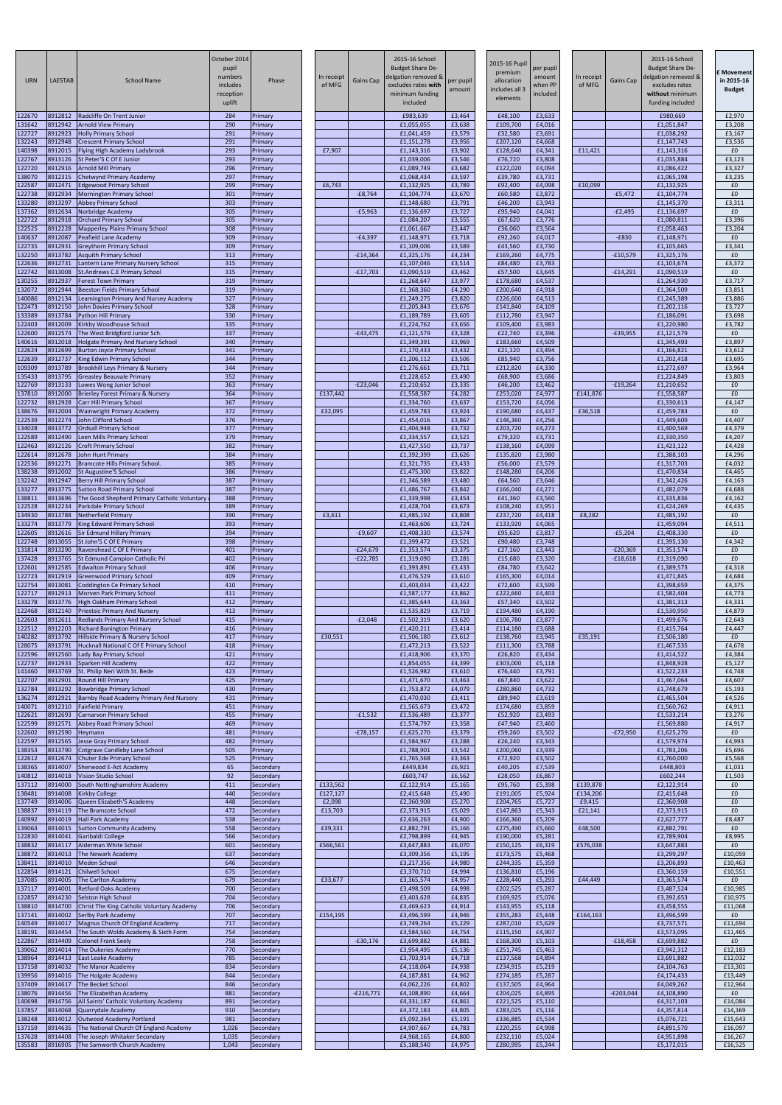| <b>URN</b>       | LAESTAB            | <b>School Name</b>                                                                 | October 2014<br>pupil<br>numbers<br>includes<br>reception<br>uplift | Phase                  | In receipt<br>of MFG | <b>Gains Cap</b> | 2015-16 School<br><b>Budget Share De-</b><br>delgation removed &<br>excludes rates with<br>minimum funding<br>included | per pupil<br>amount | 2015-16 Pupil<br>premium<br>allocation<br>ncludes all 3<br>elements | per pupil<br>amount<br>when PP<br>included | In receipt<br>of MFG | <b>Gains Cap</b> | 2015-16 School<br><b>Budget Share De-</b><br>delgation removed &<br>excludes rates<br>without minimum<br>funding included | Movement<br>in 2015-16<br><b>Budget</b> |
|------------------|--------------------|------------------------------------------------------------------------------------|---------------------------------------------------------------------|------------------------|----------------------|------------------|------------------------------------------------------------------------------------------------------------------------|---------------------|---------------------------------------------------------------------|--------------------------------------------|----------------------|------------------|---------------------------------------------------------------------------------------------------------------------------|-----------------------------------------|
| 122670<br>131642 | 8912812<br>8912942 | Radcliffe On Trent Junior<br><b>Arnold View Primary</b>                            | 284<br>290                                                          | Primary<br>Primary     |                      |                  | £983,639<br>£1,055,055                                                                                                 | £3,464<br>£3,638    | £48,100<br>£109,700                                                 | £3,633<br>£4,016                           |                      |                  | £980,669<br>£1,051,847                                                                                                    | £2,970<br>£3,208                        |
| 122727           | 8912923            | <b>Holly Primary School</b>                                                        | 291                                                                 | Primary                |                      |                  | £1,041,459                                                                                                             | £3,579              | £32,580                                                             | £3,691                                     |                      |                  | £1,038,292                                                                                                                | £3,167                                  |
| 132243<br>140398 | 8912948<br>8912015 | <b>Crescent Primary School</b><br>Flying High Academy Ladybrook                    | 291<br>293                                                          | Primary<br>Primary     | £7,907               |                  | £1,151,278<br>£1,143,316                                                                                               | £3,956<br>£3,902    | £207,120<br>£128,640                                                | £4,668<br>£4,341                           | £11,421              |                  | £1,147,743<br>£1,143,316                                                                                                  | £3,536<br>£0                            |
| 122767           | 8913126            | St Peter'S C Of E Junior                                                           | 293                                                                 | Primary                |                      |                  | £1,039,006                                                                                                             | £3,546              | £76,720                                                             | £3,808                                     |                      |                  | £1,035,884                                                                                                                | £3,123                                  |
| 122720<br>138070 | 8912916<br>8912315 | <b>Arnold Mill Primary</b><br>Chetwynd Primary Academy                             | 296<br>297                                                          | Primary<br>Primary     |                      |                  | £1,089,749<br>£1,068,434                                                                                               | £3,682<br>£3,597    | £122,020<br>£39,780                                                 | £4,094<br>£3,731                           |                      |                  | £1,086,422<br>£1,065,198                                                                                                  | £3,327<br>£3,235                        |
| 122587           | 8912471            | <b>Edgewood Primary School</b>                                                     | 299                                                                 | Primary                | £6,743               |                  | £1,132,925                                                                                                             | £3,789              | £92,400                                                             | £4,098                                     | £10,099              |                  | £1,132,925                                                                                                                | £0                                      |
| 122738<br>133280 | 8912934<br>8913297 | <b>Mornington Primary School</b><br>Abbey Primary School                           | 301<br>303                                                          | Primary<br>Primary     |                      | $-£8,764$        | £1,104,774<br>£1,148,680                                                                                               | £3,670<br>£3,791    | £60,580<br>£46,200                                                  | £3,872<br>£3,943                           |                      | $-£5,472$        | £1,104,774<br>£1,145,370                                                                                                  | £0<br>£3,311                            |
| 137362           | 8912634            | Norbridge Academy                                                                  | 305                                                                 | Primary                |                      | $-£5,963$        | £1,136,697                                                                                                             | £3,727              | £95,940                                                             | £4,041                                     |                      | $-E2,495$        | £1,136,697                                                                                                                | £0                                      |
| 122722<br>122525 | 8912918<br>8912228 | <b>Orchard Primary School</b><br>Mapperley Plains Primary School                   | 305<br>308                                                          | Primary<br>Primary     |                      |                  | £1,084,207<br>£1,061,667                                                                                               | £3,555<br>£3,447    | £67,620<br>£36,060                                                  | £3,776<br>£3,564                           |                      |                  | £1,080,811<br>£1,058,463                                                                                                  | £3,396<br>£3,204                        |
| 140637           | 8912087            | Peafield Lane Academy                                                              | 309                                                                 | Primary                |                      | $-E4,397$        | £1,148,971                                                                                                             | £3,718              | £92,260                                                             | £4,017                                     |                      | $-E830$          | £1,148,971                                                                                                                | £0                                      |
| 122735<br>132250 | 8912931<br>8913782 | <b>Greythorn Primary School</b><br><b>Asquith Primary School</b>                   | 309<br>313                                                          | Primary<br>Primary     |                      | $-£14,364$       | £1,109,006<br>£1,325,176                                                                                               | £3,589<br>£4,234    | £43,560<br>£169,260                                                 | £3,730<br>£4,775                           |                      | $-£10,579$       | £1,105,665<br>£1,325,176                                                                                                  | £3,341<br>£0                            |
| 122636           | 8912731            | Lantern Lane Primary Nursery School                                                | 315                                                                 | Primary                |                      |                  | £1,107,046                                                                                                             | £3,514              | £84,480                                                             | £3,783                                     |                      |                  | £1,103,674                                                                                                                | £3,372                                  |
| 122742<br>130255 | 8913008<br>8912937 | <b>St.Andrews C.E Primary School</b><br>Forest Town Primary                        | 315<br>319                                                          | Primary<br>Primary     |                      | $-E17,703$       | £1,090,519<br>£1,268,647                                                                                               | £3,462<br>£3,977    | £57,500<br>£178,680                                                 | £3,645<br>£4,537                           |                      | $-£14,291$       | £1,090,519<br>£1,264,930                                                                                                  | £0<br>£3,717                            |
| 132072           | 8912944            | <b>Beeston Fields Primary School</b>                                               | 319                                                                 | Primary                |                      |                  | £1,368,360                                                                                                             | £4,290              | £200,640                                                            | £4,918                                     |                      |                  | £1,364,509                                                                                                                | £3,851                                  |
| 140086<br>122473 | 8912134<br>8912150 | Leamington Primary And Nursey Academy<br>John Davies Primary School                | 327<br>328                                                          | Primary<br>Primary     |                      |                  | £1,249,275<br>£1,205,843                                                                                               | £3,820<br>£3,676    | £226,600<br>£141,840                                                | £4,513<br>£4,109                           |                      |                  | £1,245,389<br>£1,202,116                                                                                                  | £3,886<br>£3,727                        |
| 133389           | 8913784            | <b>Python Hill Primary</b>                                                         | 330                                                                 | Primary                |                      |                  | £1,189,789                                                                                                             | £3,605              | £112,780                                                            | £3,947                                     |                      |                  | £1,186,091                                                                                                                | £3,698                                  |
| 122403<br>122600 | 8912009<br>8912574 | Kirkby Woodhouse School<br>The West Bridgford Junior Sch.                          | 335<br>337                                                          | Primary<br>Primary     |                      | $-E43,475$       | £1,224,762<br>£1,121,579                                                                                               | £3,656<br>£3,328    | £109,400<br>£22,740                                                 | £3,983<br>£3,396                           |                      | $-£39,955$       | £1,220,980<br>£1,121,579                                                                                                  | £3,782<br>£0                            |
| 140616           | 8912018            | Holgate Primary And Nursery School                                                 | 340                                                                 | Primary                |                      |                  | £1,349,391                                                                                                             | £3,969              | £183,660                                                            | £4,509                                     |                      |                  | £1,345,493                                                                                                                | £3,897                                  |
| 122624<br>122639 | 8912699<br>8912737 | <b>Burton Joyce Primary School</b><br>King Edwin Primary School                    | 341<br>344                                                          | Primary<br>Primary     |                      |                  | £1,170,433<br>£1,206,112                                                                                               | £3,432<br>£3,506    | £21,120<br>£85,940                                                  | £3,494<br>£3,756                           |                      |                  | £1,166,821<br>£1,202,418                                                                                                  | £3,612<br>£3,695                        |
| 109309           | 8913789            | Brookhill Leys Primary & Nursery                                                   | 344                                                                 | Primary                |                      |                  | £1,276,661                                                                                                             | £3,711              | £212,820                                                            | £4,330                                     |                      |                  | £1,272,697                                                                                                                | £3,964                                  |
| 135433<br>122769 | 8913795<br>8913133 | <b>Greasley Beauvale Primary</b><br>Lowes Wong Junior School                       | 352<br>363                                                          | Primary<br>Primary     |                      | $-E23,046$       | £1,228,652<br>£1,210,652                                                                                               | £3,490<br>£3,335    | £68,900<br>£46,200                                                  | £3,686<br>£3,462                           |                      | $-£19,264$       | £1,224,849<br>£1,210,652                                                                                                  | £3,803<br>£0                            |
| 137810           | 8912000            | Brierley Forest Primary & Nursery                                                  | 364                                                                 | Primary                | £137,442             |                  | £1,558,587                                                                                                             | £4,282              | £253,020                                                            | £4,977                                     | £141,876             |                  | £1,558,587                                                                                                                | £0                                      |
| 122732<br>138676 | 8912928<br>8912004 | Carr Hill Primary School<br><b>Wainwright Primary Academy</b>                      | 367<br>372                                                          | Primary<br>Primary     | £32,095              |                  | £1,334,760<br>£1,459,783                                                                                               | £3,637<br>£3,924    | £153,720<br>£190,680                                                | £4,056<br>£4,437                           | £36,518              |                  | £1,330,613<br>£1,459,783                                                                                                  | £4,147<br>£0                            |
| 122539           | 8912274            | Iohn Clifford School                                                               | 376                                                                 | Primary                |                      |                  | £1,454,016                                                                                                             | £3,867              | £146,360                                                            | £4,256                                     |                      |                  | £1,449,609                                                                                                                | £4,407                                  |
| 134028<br>122589 | 8913772<br>8912490 | <b>Ordsall Primary School</b><br>Leen Mills Primary School                         | $\overline{377}$<br>379                                             | Primary<br>Primary     |                      |                  | £1,404,948<br>£1,334,557                                                                                               | £3,732<br>£3,521    | £203,720<br>£79,320                                                 | £4,273<br>£3,731                           |                      |                  | £1,400,569<br>£1,330,350                                                                                                  | £4,379<br>£4,207                        |
| 122463           | 8912126            | <b>Croft Primary School</b>                                                        | 382                                                                 | Primary                |                      |                  | £1,427,550                                                                                                             | £3,737              | £138,160                                                            | £4,099                                     |                      |                  | £1,423,122                                                                                                                | £4,428                                  |
| 122614<br>122536 | 8912678<br>8912271 | John Hunt Primary<br>Bramcote Hills Primary School.                                | 384<br>385                                                          | Primary<br>Primary     |                      |                  | £1,392,399<br>£1,321,735                                                                                               | £3,626<br>£3,433    | £135,820<br>£56,000                                                 | £3,980<br>£3,579                           |                      |                  | £1,388,103<br>£1,317,703                                                                                                  | £4,296<br>£4,032                        |
| 138238           | 8912002            | <b>St Augustine'S School</b>                                                       | 386                                                                 | Primary                |                      |                  | £1,475,300                                                                                                             | £3,822              | £148,280                                                            | £4,206                                     |                      |                  | £1,470,834                                                                                                                | £4,465                                  |
| 132242<br>133277 | 8912947<br>8913775 | <b>Berry Hill Primary School</b><br><b>Sutton Road Primary School</b>              | 387<br>387                                                          | Primary<br>Primary     |                      |                  | £1,346,589<br>£1,486,767                                                                                               | £3,480<br>£3,842    | £64,560<br>£166,040                                                 | £3,646<br>£4,271                           |                      |                  | £1,342,426<br>£1,482,079                                                                                                  | £4,163<br>£4,688                        |
| 138811           | 8913696            | The Good Shepherd Primary Catholic Voluntary                                       | 388                                                                 | Primary                |                      |                  | £1,339,998                                                                                                             | £3,454              | £41,360                                                             | £3,560                                     |                      |                  | £1,335,836                                                                                                                | £4,162                                  |
| 122528<br>134930 | 8912234<br>8913788 | Parkdale Primary School<br>Netherfield Primary                                     | 389<br>390                                                          | Primary<br>Primary     | £3,611               |                  | £1,428,704<br>£1,485,192                                                                                               | £3,673<br>£3,808    | £108,240<br>£237,720                                                | £3,951<br>£4,418                           | £8,282               |                  | £1,424,269<br>£1,485,192                                                                                                  | £4,435<br>£0                            |
| 133274           | 8913779            | King Edward Primary School                                                         | 393                                                                 | Primary                |                      |                  | £1,463,606                                                                                                             | £3,724              | £133,920                                                            | £4,065                                     |                      |                  | £1,459,094                                                                                                                | £4,511                                  |
| 122605<br>122748 | 8912616<br>8913055 | Sir Edmund Hillary Primary<br>St John'S C Of E Primary                             | 394<br>398                                                          | Primary<br>Primary     |                      | $-£9,607$        | £1,408,330<br>£1,399,472                                                                                               | £3,574<br>£3,521    | £95,620<br>£90,480                                                  | £3,817<br>£3,748                           |                      | $-£5,204$        | £1,408,330<br>£1,395,130                                                                                                  | £0<br>£4,342                            |
| 131814           | 8913290            | Ravenshead C Of E Primary                                                          | 401                                                                 | Primary                |                      | $-E24,679$       | £1,353,574                                                                                                             | £3,375              | £27,160                                                             | £3,443                                     |                      | $-E20,369$       | £1,353,574                                                                                                                | £0                                      |
| 137428<br>122601 | 8913765<br>8912585 | St Edmund Campion Catholic Pri<br><b>Edwalton Primary School</b>                   | 402<br>406                                                          | Primary<br>Primary     |                      | $-E22,785$       | £1,319,090<br>£1,393,891                                                                                               | £3,281<br>£3,433    | £15,680<br>£84,780                                                  | £3,320<br>£3,642                           |                      | $-£18,618$       | £1,319,090<br>£1,389,573                                                                                                  | £0<br>£4,318                            |
| 122723           | 8912919            | <b>Greenwood Primary School</b>                                                    | 409                                                                 | Primary                |                      |                  | £1,476,529                                                                                                             | £3,610              | £165,300                                                            | £4,014                                     |                      |                  | £1,471,845                                                                                                                | £4,684                                  |
| 122754<br>122717 | 8913081<br>8912913 | Coddington Ce Primary School<br>Morven Park Primary School                         | 410<br>411                                                          | Primary<br>Primary     |                      |                  | £1,403,034<br>£1,587,177                                                                                               | £3,422<br>£3,862    | £72,600<br>£222,660                                                 | £3,599<br>£4,403                           |                      |                  | £1,398,659<br>£1,582,404                                                                                                  | £4,375<br>£4,773                        |
| 133278           | 8913776            | <b>High Oakham Primary School</b>                                                  | 412                                                                 | Primary                |                      |                  | £1,385,644                                                                                                             | £3,363              | £57,340                                                             | £3,502                                     |                      |                  | £1,381,313                                                                                                                | £4,331                                  |
| 122468<br>122603 | 8912140<br>8912611 | <b>Priestsic Primary And Nursery</b><br><b>Redlands Primary And Nursery School</b> | 413<br>415                                                          | Primary<br>Primary     |                      | $-E2,048$        | £1,535,829<br>£1,502,319                                                                                               | £3,719<br>£3,620    | £194,480<br>£106,780                                                | £4,190<br>£3,877                           |                      |                  | £1,530,950<br>£1,499,676                                                                                                  | £4,879<br>£2,643                        |
| 122512           | 8912203            | <b>Richard Bonington Primary</b>                                                   | 416                                                                 | Primary                |                      |                  | £1,420,211                                                                                                             | £3,414              | £114,180                                                            | £3,688                                     |                      |                  | £1,415,764                                                                                                                | £4,447                                  |
| 140282<br>128075 | 8913792<br>8913791 | Hillside Primary & Nursery School<br>Hucknall National C Of E Primary School       | 417<br>418                                                          | Primary<br>Primary     | £30,551              |                  | £1,506,180<br>£1,472,213                                                                                               | £3,612<br>£3,522    | £138,760<br>£111,300                                                | £3,945<br>£3,788                           | £35,191              |                  | £1,506,180<br>£1,467,535                                                                                                  | £0<br>£4,678                            |
| 122596           | 8912560            | Lady Bay Primary School                                                            | 421                                                                 | Primary                |                      |                  | £1,418,906                                                                                                             | £3,370              | £26,820                                                             | £3,434                                     |                      |                  | £1,414,522                                                                                                                | £4,384                                  |
| 122737<br>141460 | 8912933<br>8913769 | Sparken Hill Academy<br>St. Philip Neri With St. Bede                              | 422<br>423                                                          | Primary<br>Primary     |                      |                  | £1,854,055<br>£1,526,982                                                                                               | £4,399<br>£3,610    | £303,000<br>£76,440                                                 | £5,118<br>£3,791                           |                      |                  | £1,848,928<br>£1,522,233                                                                                                  | £5,127<br>£4,748                        |
| 122707           | 8912901            | <b>Round Hill Primary</b>                                                          | 425                                                                 | Primary                |                      |                  | £1,471,670                                                                                                             | £3,463              | £67,840                                                             | £3,622                                     |                      |                  | £1,467,064                                                                                                                | £4,607                                  |
| 132784<br>136274 | 8913292<br>8912921 | <b>Bowbridge Primary School</b><br>Barnby Road Academy Primary And Nursery         | 430<br>431                                                          | Primary<br>Primary     |                      |                  | £1,753,872<br>£1,470,030                                                                                               | £4,079<br>£3,411    | £280,860<br>£89,940                                                 | £4,732<br>£3,619                           |                      |                  | £1,748,679<br>£1,465,504                                                                                                  | £5,193<br>£4,526                        |
| 140071           | 8912310            | Fairfield Primary                                                                  | 451                                                                 | Primary                |                      |                  | £1,565,673                                                                                                             | £3,472              | £174,680                                                            | £3,859                                     |                      |                  | £1,560,762                                                                                                                | £4,911                                  |
| 122621<br>122599 | 8912693<br>8912571 | Carnarvon Primary School<br>Abbey Road Primary School                              | 455<br>469                                                          | Primary<br>Primary     |                      | $-£1,532$        | £1,536,489<br>£1,574,797                                                                                               | £3,377<br>£3,358    | £52,920<br>£47,940                                                  | £3,493<br>£3,460                           |                      |                  | £1,533,214<br>£1,569,880                                                                                                  | £3,276<br>£4,917                        |
| 122602           | 8912590            | Heymann                                                                            | 481                                                                 | Primary                |                      | $-E78,157$       | £1,625,270                                                                                                             | £3,379              | £59,260                                                             | £3,502                                     |                      | $-E72,950$       | £1,625,270                                                                                                                | £0                                      |
| 122597<br>138353 | 8912565<br>8913790 | Jesse Gray Primary School<br>Cotgrave Candleby Lane School                         | 482<br>505                                                          | Primary<br>Primary     |                      |                  | £1,584,967<br>£1,788,901                                                                                               | £3,288<br>£3,542    | £26,240<br>£200,060                                                 | £3,343<br>£3,939                           |                      |                  | £1,579,974<br>£1,783,206                                                                                                  | £4,993<br>£5,696                        |
| 122612           | 8912674            | <b>Chuter Ede Primary School</b>                                                   | 525                                                                 | Primary                |                      |                  | £1,765,568                                                                                                             | £3,363              | £72,920                                                             | £3,502                                     |                      |                  | £1,760,000                                                                                                                | £5,568                                  |
| 138365<br>140812 | 8914007<br>8914018 | Sherwood E-Act Academy<br>Vision Studio School                                     | 65<br>92                                                            | Secondary<br>Secondary |                      |                  | £449,834<br>£603,747                                                                                                   | £6,921<br>£6,562    | £40,205<br>£28,050                                                  | £7,539<br>£6,867                           |                      |                  | £448,803<br>£602,244                                                                                                      | £1,031<br>£1,503                        |
| 137112           | 8914000            | South Nottinghamshire Academy<br>Kirkby College                                    | 411<br>440                                                          | Secondary              | £133,562             |                  | £2,122,914                                                                                                             | £5,165              | £95,760                                                             | £5,398                                     | £139,878             |                  | £2,122,914                                                                                                                | £0                                      |
| 138481<br>137749 | 8914008<br>8914006 | Queen Elizabeth'S Academy                                                          | 448                                                                 | Secondary<br>Secondary | £127,127<br>£2,098   |                  | £2,415,648<br>£2,360,908                                                                                               | £5,490<br>£5,270    | £191,005<br>£204,765                                                | £5,924<br>£5,727                           | £134,206<br>£9,415   |                  | £2,415,648<br>£2,360,908                                                                                                  | £0<br>£0                                |
| 138837           | 8914119<br>8914019 | The Bramcote School                                                                | 472<br>538                                                          | Secondary              | £13,703              |                  | £2,373,915                                                                                                             | £5,029              | £147,863                                                            | £5,343                                     | £21,141              |                  | £2,373,915<br>£2,627,777                                                                                                  | £0<br>£8,487                            |
| 140992<br>139063 | 8914015            | Hall Park Academy<br><b>Sutton Community Academy</b>                               | 558                                                                 | Secondary<br>Secondary | £39,331              |                  | £2,636,263<br>£2,882,791                                                                                               | £4,900<br>£5,166    | £166,360<br>£275,490                                                | £5,209<br>£5,660                           | £48,500              |                  | £2,882,791                                                                                                                | £0                                      |
| 122830           | 8914041            | Garibaldi College                                                                  | 566                                                                 | Secondary              |                      |                  | £2,798,899                                                                                                             | £4,945              | £190,000                                                            | £5,281                                     |                      |                  | £2,789,904                                                                                                                | £8,995                                  |
| 138832<br>138872 | 8914117<br>8914013 | Alderman White School<br>The Newark Academy                                        | 601<br>637                                                          | Secondary<br>Secondary | £566,561             |                  | £3,647,883<br>£3,309,356                                                                                               | £6,070<br>£5,195    | £150,125<br>£173,575                                                | £6,319<br>£5,468                           | £576,038             |                  | £3,647,883<br>£3,299,297                                                                                                  | £0<br>£10,059                           |
| 138411           | 8914010            | <b>Meden School</b>                                                                | 646                                                                 | Secondary              |                      |                  | £3,217,356                                                                                                             | £4,980              | £244,335                                                            | £5,359                                     |                      |                  | £3,206,893                                                                                                                | £10,463                                 |
| 122854<br>137085 | 8914121            | <b>Chilwell School</b><br>8914005 The Carlton Academy                              | 675<br>679                                                          | Secondary<br>Secondary | £33,677              |                  | £3,370,710<br>£3,365,574                                                                                               | £4,994<br>£4,957    | £136,810<br>£228,440                                                | £5,196<br>£5,293                           | £44,449              |                  | £3,360,159<br>£3,365,574                                                                                                  | £10,551<br>£0                           |
| 137117           | 8914001            | Retford Oaks Academy                                                               | 700                                                                 | Secondary              |                      |                  | £3,498,509                                                                                                             | £4,998              | £202,525                                                            | £5,287                                     |                      |                  | £3,487,524                                                                                                                | £10,985                                 |
| 122857<br>138810 | 8914230<br>8914700 | Selston High School<br>Christ The King Catholic Voluntary Academy                  | 704<br>706                                                          | Secondary<br>Secondary |                      |                  | £3,403,628<br>£3,469,623                                                                                               | £4,835<br>£4,914    | £169,925<br>£143,955                                                | £5,076<br>£5,118                           |                      |                  | £3,392,653<br>£3,458,555                                                                                                  | £10,975<br>£11,068                      |
| 137141           | 8914002            | Serlby Park Academy                                                                | 707                                                                 | Secondary              | £154,195             |                  | £3,496,599                                                                                                             | £4,946              | £355,283                                                            | £5,448                                     | £164,163             |                  | £3,496,599                                                                                                                | £0                                      |
| 140549<br>138191 | 8914017<br>8914454 | Magnus Church Of England Academy<br>The South Wolds Academy & Sixth Form           | 717<br>754                                                          | Secondary<br>Secondary |                      |                  | £3,749,264<br>£3,584,560                                                                                               | £5,229<br>£4,754    | £287,010<br>£115,150                                                | £5,629<br>£4,907                           |                      |                  | £3,737,571<br>£3,573,095                                                                                                  | £11,694<br>£11,465                      |
| 122867           | 8914409            | <b>Colonel Frank Seely</b>                                                         | 758                                                                 | Secondary              |                      | $-£30,176$       | £3,699,882                                                                                                             | £4,881              | £168,300                                                            | £5,103                                     |                      | $-£18,458$       | £3,699,882                                                                                                                | £0                                      |
| 139062<br>138964 | 8914014<br>8914413 | The Dukeries Academy<br>East Leake Academy                                         | 770<br>785                                                          | Secondary<br>Secondary |                      |                  | £3,954,495<br>£3,703,914                                                                                               | £5,136<br>£4,718    | £251,745<br>£137,568                                                | £5,463<br>£4,894                           |                      |                  | £3,942,312<br>£3,691,882                                                                                                  | £12,183<br>£12,032                      |
| 137158           | 8914032            | The Manor Academy                                                                  | 834<br>844                                                          | Secondary              |                      |                  | £4,118,064                                                                                                             | £4,938              | £234,915                                                            | £5,219                                     |                      |                  | £4,104,763                                                                                                                | £13,301                                 |
| 139956<br>137409 | 8914016<br>8914617 | The Holgate Academy<br>The Becket School                                           | 846                                                                 | Secondary<br>Secondary |                      |                  | £4,187,881<br>£4,062,226                                                                                               | £4,962<br>£4,802    | £274,185<br>£137,505                                                | £5,287<br>£4,964                           |                      |                  | £4,174,433<br>£4,049,262                                                                                                  | £13,449<br>£12,964                      |
| 138076           | 8914456<br>8914756 | The Elizabethan Academy                                                            | 881<br>891                                                          | Secondary              |                      | $-E216,771$      | £4,108,890                                                                                                             | £4,664<br>£4,861    | £204,025                                                            | £4,895<br>£5,110                           |                      | $-E203,044$      | £4,108,890                                                                                                                | £0<br>£14,084                           |
| 140698<br>137857 | 8914068            | All Saints' Catholic Voluntary Academy<br>Quarrydale Academy                       | 910                                                                 | Secondary<br>Secondary |                      |                  | £4,331,187<br>£4,372,183                                                                                               | £4,805              | £221,525<br>£283,025                                                | £5,116                                     |                      |                  | £4,317,103<br>£4,357,814                                                                                                  | £14,369                                 |
| 138248<br>137159 | 8914012<br>8914635 | <b>Outwood Academy Portland</b><br>The National Church Of England Academy          | 981<br>1,026                                                        | Secondary<br>Secondary |                      |                  | £5,092,364<br>£4,907,667                                                                                               | £5,191<br>£4,783    | £336,885<br>£220,255                                                | £5,534<br>£4,998                           |                      |                  | £5,076,721<br>£4,891,570                                                                                                  | £15,643<br>£16,097                      |
| 137628           | 8914408            | The Joseph Whitaker Secondary                                                      | 1,035                                                               | Secondary              |                      |                  | £4,968,165                                                                                                             | £4,800              | £232,110                                                            | £5,024                                     |                      |                  | £4,951,898                                                                                                                | £16,267                                 |
| 135583           | 8916905            | The Samworth Church Academy                                                        | 1,043                                                               | Secondary              |                      |                  | £5,188,540                                                                                                             | £4,975              | £280,995                                                            | £5,244                                     |                      |                  | £5,172,015                                                                                                                | £16,525                                 |